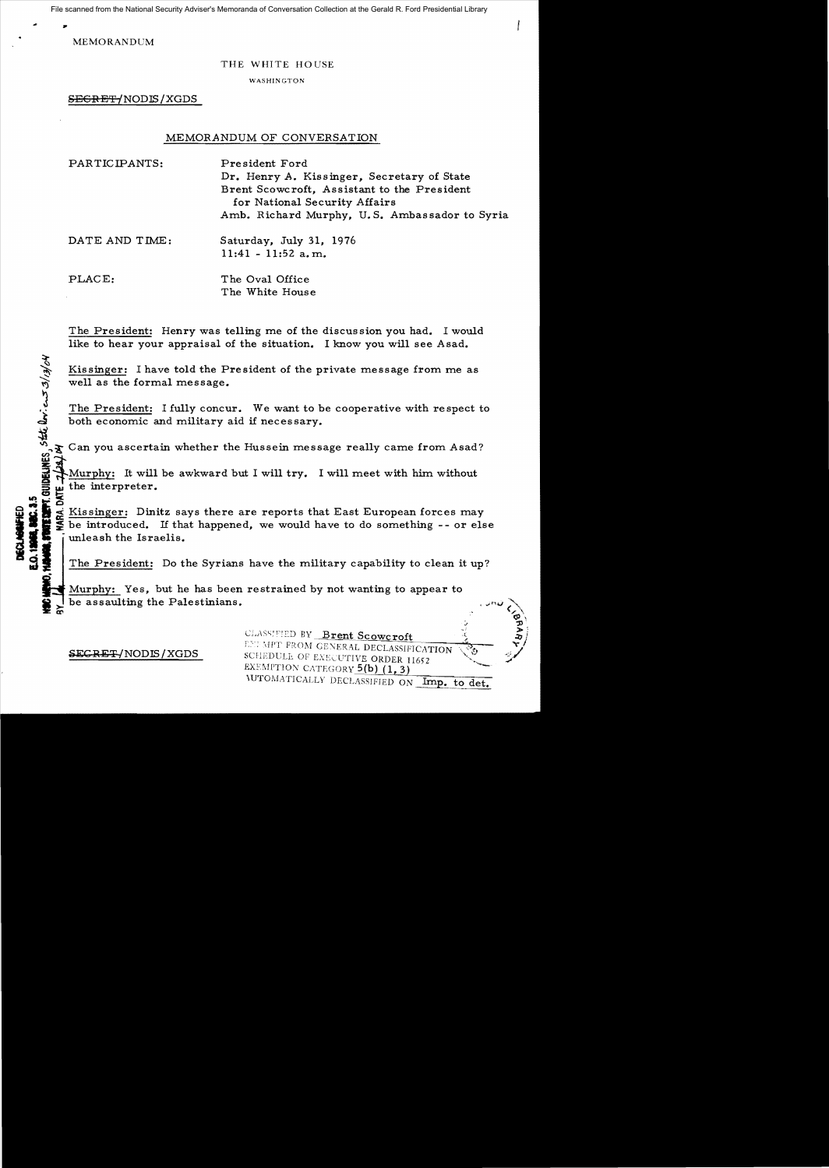File scanned from the National Security Adviser's Memoranda of Conversation Collection at the Gerald R. Ford Presidential Library

MEMORANDUM

## THE WHITE HOUSE

WASHINGTON

SEGRET/NODIS/XGDS

## MEMORANDUM OF CONVERSATION

| PARTICIPANTS:  | President Ford<br>Dr. Henry A. Kissinger, Secretary of State<br>Brent Scowcroft, Assistant to the President<br>for National Security Affairs<br>Amb. Richard Murphy, U.S. Ambassador to Syria |
|----------------|-----------------------------------------------------------------------------------------------------------------------------------------------------------------------------------------------|
| DATE AND TIME: | Saturday, July 31, 1976<br>$11:41 - 11:52$ a.m.                                                                                                                                               |
| PLACE:         | The Oval Office<br>The White House                                                                                                                                                            |

The President: Henry was telling me of the discussion you had. I would like to hear your appraisal of the situation. I know you will see Asad.

Kissinger: I have told the President of the private message from me as well as the formal message.

The President: I fully concur. We want to be cooperative with respect to both economic and military aid if necessary.

 $\boldsymbol{\Sigma}$  Can you ascertain whether the Hussein message really came from Asad?

Murphy: It will be awkward but I will try. I will meet with him without  $\Xi \cong$  the interpreter.

ORIGIN S. EXISSING : Dinitz says there are reports that East European forces may<br>see the introduced. If that happened, we would have to do something -- or else<br>see the unleash the Israelis.  $\frac{1}{2}$  be introduced. If that happened, we would have to do something -- or else<br>like indeash the Israelis.<br>1I The President: Do the Syrians have the military capability to clean it up?

Murphy: Yes, but he has been restrained by not wanting to appear to be assaulting the Palestinians.

DELINES, State lovi ent 3/13/04

 $\mathbb{P}$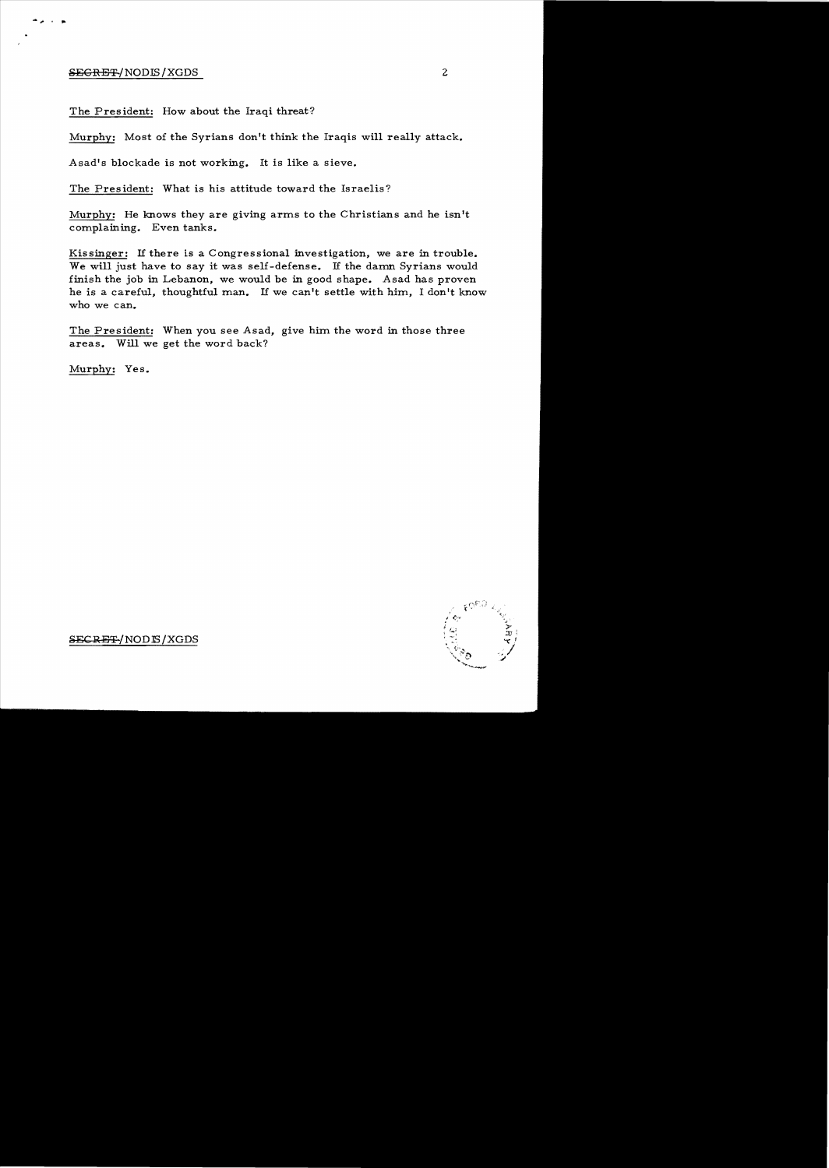## SEGRET/NODIS/XGDS

The President: How about the Iraqi threat?

Murphy: Most of the Syrians don't think the Iraqis will really attack.

Asad's blockade is not working. It is like a sieve.

The President: What is his attitude toward the Israelis?

Murphy: He knows they are giving arms to the Christians and he isn't complaining. Even tanks.

Kissinger: If there is a Congressional investigation, we are in trouble. We will just have to say it was self-defense. If the damn Syrians would finish the job in Lebanon, we would be in good shape. Asad has proven he is a careful, thoughtful man. If we can't settle with him, I don't know who we can.

The President: When you see Asad, give him the word in those three areas. Will we get the word back?

Murphy: Yes.



SECRE<del>T</del>/NOD<sub>IS</sub>/XGDS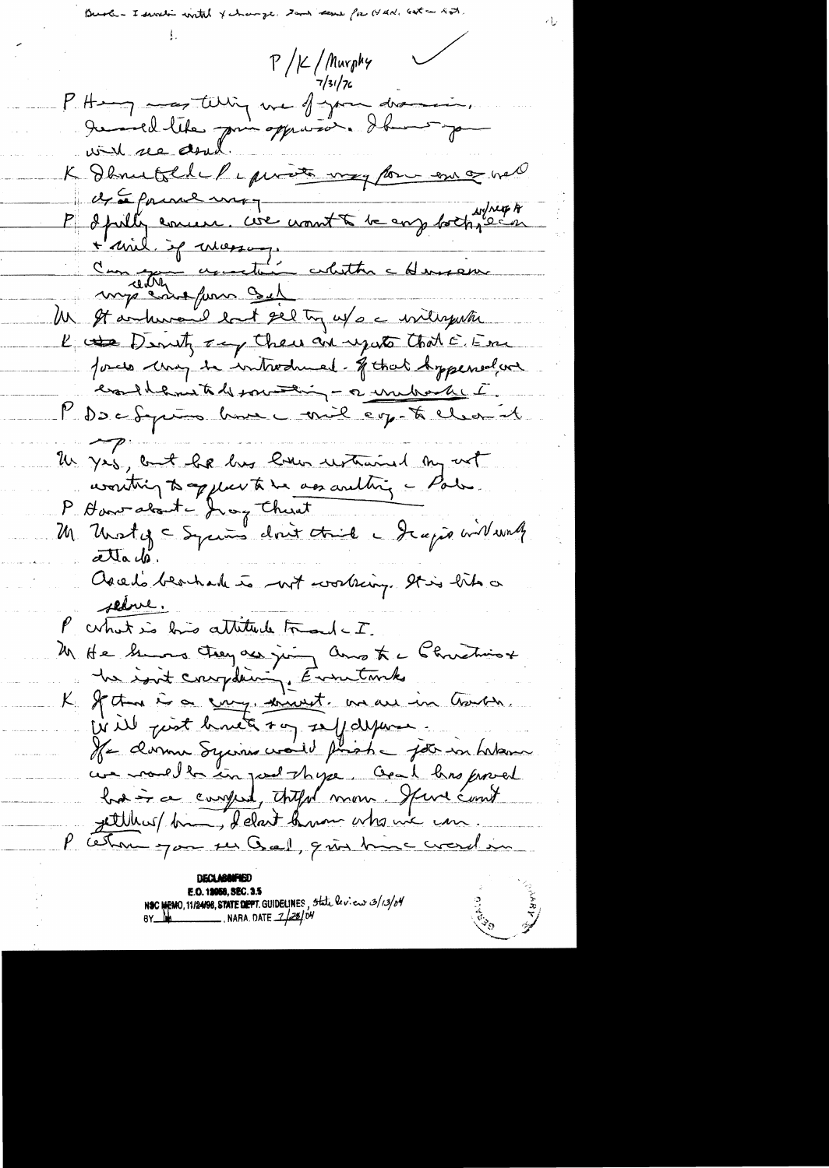$P / \frac{2}{\sqrt{3}}$ /Aurphy P Hang mes tillig une figure discursion. K Denuttle Peperson voy for en og vel et a forme mo P & fully comen. We want to be any forth, each l mil de mosson.<br>Comme assestant absence my comptent Un It andersend last sel try us a withyuthe K the Denty any their are up at that E. Em Jours they to introduced. I that Appened we exalterne to be pour thing - a unitarket. MDDCfum home - mil eg. to clean at Un yes, but he has live untimed my not wonting to applie to be assaulting a Park. P. Haveralant - Jeang Thurst M Unsty - Syrums dont trie - Jeapie willworth atta de. Ascelo beacharle to not working. It is like a selve. P what is his attitude Frank - I. M He hung trey as juing and to a Christian he isn't complaining. Eventuales K Jectra is a cury, univent and in Gourn Will just have to self defense He domme Sycriso would print a job in habove we noulle in post these and has proved had in a compret, thefol more functions gettiliers/ bin, delait know who ine com. P ceton par ses Gal, qui time crosel in

NSC MEMO, 11/24/98, STATE DEPT. GUIDELINES, State levieur 3/13/04<br>BY MARIO DATE 7/28/04